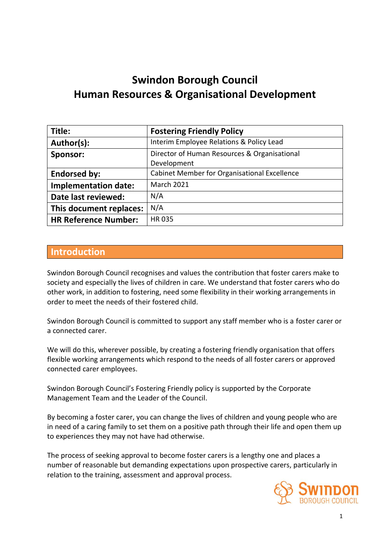# **Swindon Borough Council Human Resources & Organisational Development**

| Title:                      | <b>Fostering Friendly Policy</b>                    |
|-----------------------------|-----------------------------------------------------|
| Author(s):                  | Interim Employee Relations & Policy Lead            |
| Sponsor:                    | Director of Human Resources & Organisational        |
|                             | Development                                         |
| <b>Endorsed by:</b>         | <b>Cabinet Member for Organisational Excellence</b> |
| <b>Implementation date:</b> | <b>March 2021</b>                                   |
| Date last reviewed:         | N/A                                                 |
| This document replaces:     | N/A                                                 |
| <b>HR Reference Number:</b> | <b>HR035</b>                                        |

#### **Introduction**

Swindon Borough Council recognises and values the contribution that foster carers make to society and especially the lives of children in care. We understand that foster carers who do other work, in addition to fostering, need some flexibility in their working arrangements in order to meet the needs of their fostered child.

Swindon Borough Council is committed to support any staff member who is a foster carer or a connected carer.

We will do this, wherever possible, by creating a fostering friendly organisation that offers flexible working arrangements which respond to the needs of all foster carers or approved connected carer employees.

Swindon Borough Council's Fostering Friendly policy is supported by the Corporate Management Team and the Leader of the Council.

By becoming a foster carer, you can change the lives of children and young people who are in need of a caring family to set them on a positive path through their life and open them up to experiences they may not have had otherwise.

The process of seeking approval to become foster carers is a lengthy one and places a number of reasonable but demanding expectations upon prospective carers, particularly in relation to the training, assessment and approval process.

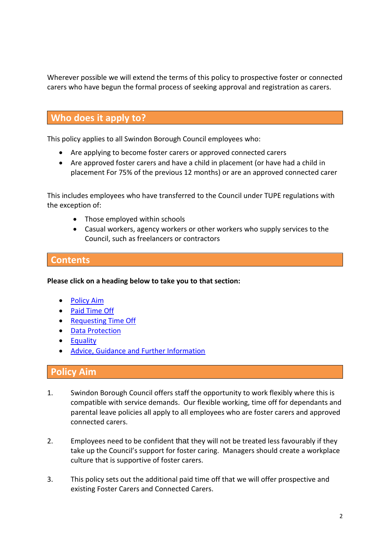Wherever possible we will extend the terms of this policy to prospective foster or connected carers who have begun the formal process of seeking approval and registration as carers.

# **Who does it apply to?**

This policy applies to all Swindon Borough Council employees who:

- Are applying to become foster carers or approved connected carers
- Are approved foster carers and have a child in placement (or have had a child in placement For 75% of the previous 12 months) or are an approved connected carer

This includes employees who have transferred to the Council under TUPE regulations with the exception of:

- Those employed within schools
- Casual workers, agency workers or other workers who supply services to the Council, such as freelancers or contractors

# **Contents**

**Please click on a heading below to take you to that section:**

- [Policy Aim](#page-1-0)
- [Paid Time Off](#page-2-0)
- [Requesting Time Off](#page-2-1)
- [Data Protection](#page-2-2)
- **•** [Equality](#page-3-0)
- [Advice, Guidance and Further Information](#page-3-1)

#### <span id="page-1-0"></span>**Policy Aim**

- 1. Swindon Borough Council offers staff the opportunity to work flexibly where this is compatible with service demands. Our flexible working, time off for dependants and parental leave policies all apply to all employees who are foster carers and approved connected carers.
- 2. Employees need to be confident that they will not be treated less favourably if they take up the Council's support for foster caring. Managers should create a workplace culture that is supportive of foster carers.
- 3. This policy sets out the additional paid time off that we will offer prospective and existing Foster Carers and Connected Carers.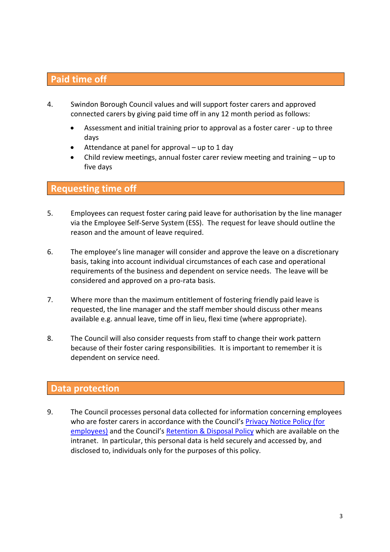# <span id="page-2-0"></span>**Paid time off**

- 4. Swindon Borough Council values and will support foster carers and approved connected carers by giving paid time off in any 12 month period as follows:
	- Assessment and initial training prior to approval as a foster carer up to three days
	- Attendance at panel for approval up to 1 day
	- Child review meetings, annual foster carer review meeting and training up to five days

#### <span id="page-2-1"></span>**Requesting time off**

- 5. Employees can request foster caring paid leave for authorisation by the line manager via the Employee Self-Serve System (ESS). The request for leave should outline the reason and the amount of leave required.
- 6. The employee's line manager will consider and approve the leave on a discretionary basis, taking into account individual circumstances of each case and operational requirements of the business and dependent on service needs. The leave will be considered and approved on a pro-rata basis.
- 7. Where more than the maximum entitlement of fostering friendly paid leave is requested, the line manager and the staff member should discuss other means available e.g. annual leave, time off in lieu, flexi time (where appropriate).
- 8. The Council will also consider requests from staff to change their work pattern because of their foster caring responsibilities. It is important to remember it is dependent on service need.

# <span id="page-2-2"></span>**Data protection**

9. The Council processes personal data collected for information concerning employees who are foster carers in accordance with the Council's [Privacy Notice Policy \(for](https://intranet.sbcintra.com/WorkingatSBC/hr/Privacy%20Notice%20Policy/Pages/default.aspx)  [employees\)](https://intranet.sbcintra.com/WorkingatSBC/hr/Privacy%20Notice%20Policy/Pages/default.aspx) and the Council's [Retention & Disposal Policy](https://intranet.sbcintra.com/BusinessSupport/legalcompliancesupport/FOI/freedomofinformationretentiondisposal/Pages/default.aspx) which are available on the intranet. In particular, this personal data is held securely and accessed by, and disclosed to, individuals only for the purposes of this policy.